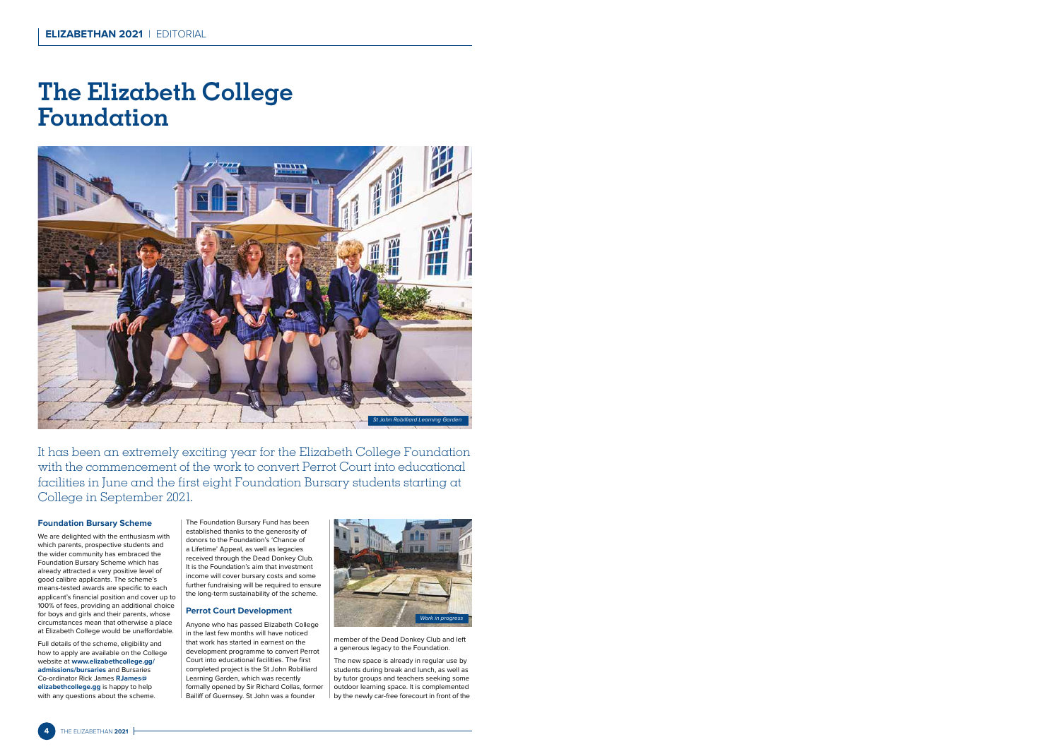## **The Elizabeth College Foundation**



It has been an extremely exciting year for the Elizabeth College Foundation with the commencement of the work to convert Perrot Court into educational facilities in June and the first eight Foundation Bursary students starting at College in September 2021.

## **Foundation Bursary Scheme**

We are delighted with the enthusiasm with which parents, prospective students and the wider community has embraced the Foundation Bursary Scheme which has already attracted a very positive level of good calibre applicants. The scheme's means-tested awards are specific to each applicant's financial position and cover up to 100% of fees, providing an additional choice for boys and girls and their parents, whose circumstances mean that otherwise a place at Elizabeth College would be unaffordable.

Full details of the scheme, eligibility and how to apply are available on the College website at **www.elizabethcollege.gg/ admissions/bursaries** and Bursaries Co-ordinator Rick James **RJames@ elizabethcollege.gg** is happy to help with any questions about the scheme.

The Foundation Bursary Fund has been established thanks to the generosity of donors to the Foundation's 'Chance of a Lifetime' Appeal, as well as legacies received through the Dead Donkey Club. It is the Foundation's aim that investment income will cover bursary costs and some further fundraising will be required to ensure the long-term sustainability of the scheme.

## **Perrot Court Development**

Anyone who has passed Elizabeth College in the last few months will have noticed that work has started in earnest on the development programme to convert Perrot Court into educational facilities. The first completed project is the St John Robilliard Learning Garden, which was recently formally opened by Sir Richard Collas, former Bailiff of Guernsey. St John was a founder



member of the Dead Donkey Club and left a generous legacy to the Foundation.

The new space is already in regular use by students during break and lunch, as well as by tutor groups and teachers seeking some outdoor learning space. It is complemented by the newly car-free forecourt in front of the